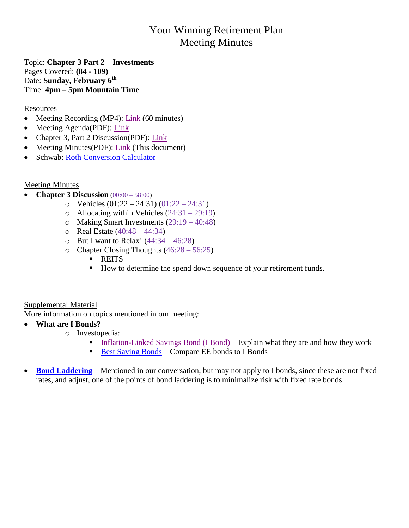## Your Winning Retirement Plan Meeting Minutes

Topic: **Chapter 3 Part 2 – Investments** Pages Covered: **(84 - 109)** Date: **Sunday, February 6 th** Time: **4pm – 5pm Mountain Time**

### **Resources**

- Meeting Recording (MP4):  $Link (60 minutes)$ </u>
- Meeting Agenda(PDF): [Link](https://www.artcentrics.com/13_MoneyMatters/Your_Winning_Retirement_Plan/2022-02-06_Meeting_Agenda2.pdf)
- Chapter 3, Part 2 Discussion(PDF): [Link](http://www.artcentrics.com/13_MoneyMatters/Your_Winning_Retirement_Plan/2022-02-06_BookDiscussion_Chapter-03_Part-2.pdf)
- Meeting Minutes(PDF): [Link](http://www.artcentrics.com/13_MoneyMatters/Your_Winning_Retirement_Plan/2022-02-06_Meeting%20Minutes.pdf) (This document)
- Schwab: [Roth Conversion Calculator](https://www.schwab.com/ira/understand-iras/ira-calculators/roth-ira-conversion)

Meeting Minutes

- **Chapter 3 Discussion** (00:00 58:00)
	- o Vehicles  $(01:22 24:31) (01:22 24:31)$
	- $\circ$  Allocating within Vehicles (24:31 29:19)
	- o Making Smart Investments (29:19 40:48)
	- $\circ$  Real Estate (40:48 44:34)
	- $\circ$  But I want to Relax! (44:34 46:28)
	- $\circ$  Chapter Closing Thoughts  $(46:28 56:25)$ 
		- **REITS**
		- How to determine the spend down sequence of your retirement funds.

### Supplemental Material

More information on topics mentioned in our meeting:

- **What are I Bonds?**
	- o Investopedia:
		- [Inflation-Linked Savings Bond \(I Bond\)](https://www.investopedia.com/terms/i/inflation-linkedsavingsbonds.asp) Explain what they are and how they work
		- [Best Saving Bonds](https://www.investopedia.com/best-savings-bonds-5196440) Compare EE bonds to I Bonds
- **[Bond Laddering](https://www.investopedia.com/investing/build-bond-ladder-boost-returns/)** Mentioned in our conversation, but may not apply to I bonds, since these are not fixed rates, and adjust, one of the points of bond laddering is to minimalize risk with fixed rate bonds.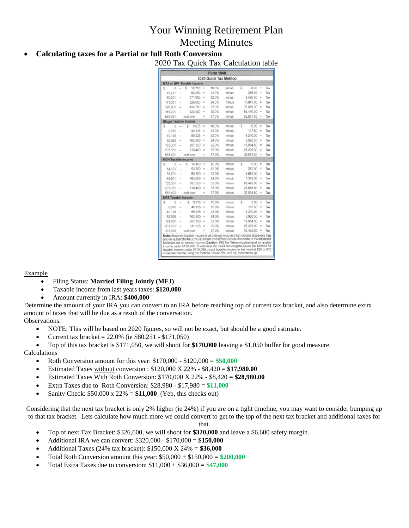# Your Winning Retirement Plan Meeting Minutes

### **Calculating taxes for a Partial or full Roth Conversion**

2020 Tax Quick Tax Calculation table

|                           |                          |                                 |                         | Form 1040 |                       |   |           |               |     |
|---------------------------|--------------------------|---------------------------------|-------------------------|-----------|-----------------------|---|-----------|---------------|-----|
|                           |                          |                                 |                         |           | 2020 Quick Tax Method |   |           |               |     |
|                           |                          | <b>MFJ or QW Taxable Income</b> |                         |           |                       |   |           |               |     |
| \$<br>Ü.                  | $\sim$                   | Š<br>19,750                     | ×                       | 10.0%     | minus                 | 5 | 0.00      | $\equiv$      | Tax |
| 19,751                    | ÷                        | 80,250                          | $\mathbf x$             | 12.0%     | minus                 |   | 395.00    | $\mathbb{R}$  | Tax |
| 80,251                    | ÷                        | 171,050                         | $\overline{a}$          | 22.0%     | minus                 |   | 8.420.00  | $\equiv$      | Tax |
| 171,051                   | i.                       | 326,600                         | $\mathbf{x}$            | 24.0%     | minus                 |   | 11,841.00 | $\equiv$      | Tax |
| 326,601                   | ÷                        | 414,700                         | ×                       | 32.0%     | minus                 |   | 37,969.00 | ×             | Tax |
| 414.701                   | Ξ                        | 622 050                         | ×                       | 35.0%     | minus                 |   | 50.410.00 | $\equiv$      | Tax |
| 622.051                   |                          | and over                        | ×                       | 37.0%     | minus                 |   | 62.851.00 | ×             | Tax |
| Single Taxable Income     |                          |                                 |                         |           |                       |   |           |               |     |
| š<br>o                    | ÷                        | 5<br>9.875                      | x                       | 10.0%     | minus                 | Ŝ | 0.00      | $\equiv$      | Tax |
| 9.876                     | $\overline{a}$           | 40.125                          | $\overline{\mathbf{x}}$ | 12.0%     | minus                 |   | 197.50    | $=$           | Tax |
| 40.126                    | ÷                        | 85 525                          | $\mathbf x$             | 22.0%     | minus                 |   | 4,210.00  | $\frac{1}{2}$ | Tax |
| 85.526                    | z                        | 163.300                         | $\mathbf{r}$            | 24.0%     | minus                 |   | 5,920.50  | $\equiv$      | Tax |
| 163.301                   | s                        | 207.350                         | ×                       | 32.0%     | minus                 |   | 18,984.50 | $\equiv$      | Tax |
| 207.351                   | $\sim$                   | 518,400                         | ×                       | 35.0%     | minus                 |   | 25,205.00 | $\equiv$      | Tax |
| 518:401                   |                          | and over                        | ×                       | 37.0%     | minus                 |   | 35,573.00 | $\equiv$      | Tax |
| <b>HOH Taxable Income</b> |                          |                                 |                         |           |                       |   |           |               |     |
| \$<br>o                   |                          | 5<br>14.100                     | ×                       | 10.0%     | minus                 | Ŝ | 0.00      | $\equiv$      | Tax |
| 14,101                    | ÷                        | 53.700                          | ×                       | 12.0%     | minus                 |   | 282.00    | $\equiv$      | Tax |
| 53.701                    | z                        | 85.500                          | ×                       | 22.0%     | minus                 |   | 5,652.00  | $\frac{1}{2}$ | Tax |
| 85.501                    | ÷                        | 163.300                         | $\mathbf{x}$            | 24.0%     | minus                 |   | 7.362.00  | $\equiv$      | Tax |
| 163,301                   | ÷                        | 207.350                         | ×                       | 32.0%     | minus                 |   | 20:426.00 | $\equiv$      | Tax |
| 207.351                   | $\overline{\phantom{a}}$ | 518,400                         | $\overline{\mathbf{x}}$ | 35.0%     | minus                 |   | 26.646.50 | $\equiv$      | Tax |
| 518,401                   |                          | and over                        | ×                       | 37.0%     | minus                 |   | 37.014.50 | $\equiv$      | Tax |
| <b>MFS Taxable Income</b> |                          |                                 |                         |           |                       |   |           |               |     |
| š<br>ō                    | u.                       | Ŝ<br>9.875                      | ×                       | 10.0%     | minus                 | s | 0.00      | ÷             | Tax |
| 9.876                     | ż                        | 40.125                          | ×                       | 12.0%     | minus                 |   | 197.50    | Ξ             | Tax |
| 40.126                    | s                        | 85,525                          | ×                       | 22.0%     | minus                 |   | 4,210.00  | $\equiv$      | Tax |
| 85.526                    | $\overline{\phantom{a}}$ | 163,300                         | ×                       | 24.0%     | minus                 |   | 5,920.50  | $\equiv$      | Tax |
| 163,301                   | $\overline{\phantom{a}}$ | 207,350                         | ×                       | 32.0%     | minus                 |   | 18.984.50 | $\equiv$      | Tax |
| 207.351                   | ÷                        | 311.025                         | ×                       | 35.0%     | minus                 |   | 25,205.00 | $\equiv$      | Tax |
|                           |                          | and over                        | ×                       | 37.0%     | minus                 |   | 31,425.50 | ÷             | Tax |

#### Example

- Filing Status: **Married Filing Jointly (MFJ)**
- Taxable income from last years taxes: **\$120,000**
- Amount currently in IRA: **\$400,000**

Determine the amount of your IRA you can convert to an IRA before reaching top of current tax bracket, and also determine extra amount of taxes that will be due as a result of the conversation. Observations:

- NOTE: This will be based on 2020 figures, so will not be exact, but should be a good estimate.
- Current tax bracket = 22.0% (ie \$80,251 \$171,050)
- Top of this tax bracket is \$171,050, we will shoot for **\$170,000** leaving a \$1,050 buffer for good measure. Calculations
	- Roth Conversion amount for this year:  $$170,000 $120,000 = $50,000$
	- Estimated Taxes without conversion : \$120,000 X 22% \$8,420 = **\$17,980.00**
	- Estimated Taxes With Roth Conversion: \$170,000 X 22% \$8,420 = **\$28,980.00**
	- Extra Taxes due to Roth Conversion: \$28,980 \$17,980 = **\$11,000**
	- Sanity Check: \$50,000 x 22% = **\$11,000** (Yep, this checks out)

Considering that the next tax bracket is only 2% higher (ie 24%) if you are on a tight timeline, you may want to consider bumping up to that tax bracket. Lets calculate how much more we could convert to get to the top of the next tax bracket and additional taxes for

that.

- Top of next Tax Bracket: \$326,600, we will shoot for **\$320,000** and leave a \$6,600 safety margin.
- Additional IRA we can convert: \$320,000 \$170,000 = **\$150,000**
- Additional Taxes (24% tax bracket): \$150,000 X 24% = **\$36,000**
- Total Roth Conversion amount this year: \$50,000 + \$150,000 = **\$200,000**
- Total Extra Taxes due to conversion: \$11,000 + \$36,000 = **\$47,000**